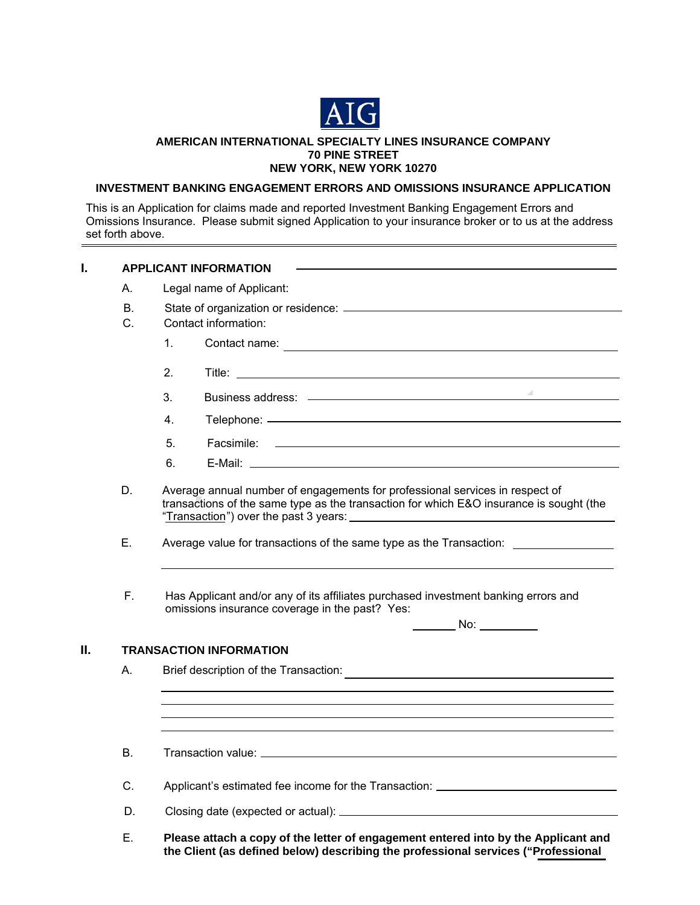

#### **AMERICAN INTERNATIONAL SPECIALTY LINES INSURANCE COMPANY 70 PINE STREET NEW YORK, NEW YORK 10270**

## **INVESTMENT BANKING ENGAGEMENT ERRORS AND OMISSIONS INSURANCE APPLICATION**

This is an Application for claims made and reported Investment Banking Engagement Errors and Omissions Insurance. Please submit signed Application to your insurance broker or to us at the address set forth above.

| L  |                                                                                                                                                                         | <b>APPLICANT INFORMATION</b>                                                                                                                                            |  |  |  |
|----|-------------------------------------------------------------------------------------------------------------------------------------------------------------------------|-------------------------------------------------------------------------------------------------------------------------------------------------------------------------|--|--|--|
|    | А.                                                                                                                                                                      | Legal name of Applicant:                                                                                                                                                |  |  |  |
|    | <b>B.</b>                                                                                                                                                               |                                                                                                                                                                         |  |  |  |
|    | C.                                                                                                                                                                      | Contact information:                                                                                                                                                    |  |  |  |
|    |                                                                                                                                                                         | 1.                                                                                                                                                                      |  |  |  |
|    |                                                                                                                                                                         | 2.                                                                                                                                                                      |  |  |  |
|    |                                                                                                                                                                         | 3.                                                                                                                                                                      |  |  |  |
|    |                                                                                                                                                                         | 4.                                                                                                                                                                      |  |  |  |
|    |                                                                                                                                                                         | 5.                                                                                                                                                                      |  |  |  |
|    |                                                                                                                                                                         | 6.<br>E-Mail: 2008 2009 2009 2009 2010 2021 2022 2023 2024 2022 2023 2024 2022 2023 2024 2022 2023 2024 2022 2023 20                                                    |  |  |  |
|    | Average annual number of engagements for professional services in respect of<br>transactions of the same type as the transaction for which E&O insurance is sought (the |                                                                                                                                                                         |  |  |  |
|    | Ε.                                                                                                                                                                      | Average value for transactions of the same type as the Transaction: _____________                                                                                       |  |  |  |
|    | F.                                                                                                                                                                      | Has Applicant and/or any of its affiliates purchased investment banking errors and<br>omissions insurance coverage in the past? Yes:<br>$\overline{\phantom{a}}$ No:    |  |  |  |
| Ш. | <b>TRANSACTION INFORMATION</b>                                                                                                                                          |                                                                                                                                                                         |  |  |  |
|    | А.                                                                                                                                                                      | Brief description of the Transaction:<br><u> 1989 - John Stein, Amerikaansk politiker (</u>                                                                             |  |  |  |
|    |                                                                                                                                                                         |                                                                                                                                                                         |  |  |  |
|    | <b>B.</b>                                                                                                                                                               |                                                                                                                                                                         |  |  |  |
|    | C.                                                                                                                                                                      | Applicant's estimated fee income for the Transaction: __________________________                                                                                        |  |  |  |
|    | D.                                                                                                                                                                      |                                                                                                                                                                         |  |  |  |
|    | Ε.                                                                                                                                                                      | Please attach a copy of the letter of engagement entered into by the Applicant and<br>the Client (as defined below) describing the professional services ("Professional |  |  |  |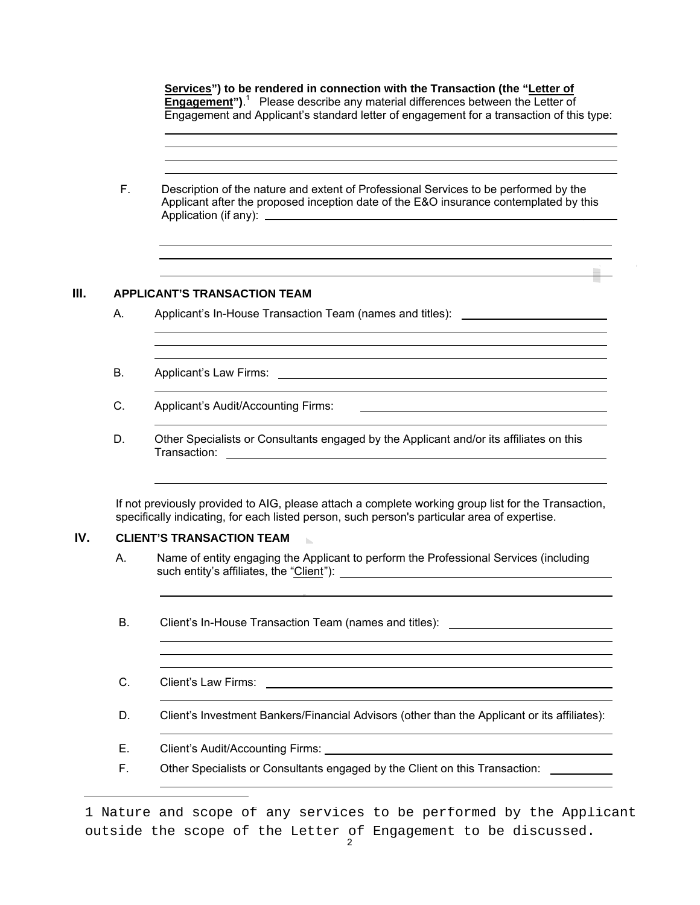**Services") to be rendered in connection with the Transaction (the "Letter of Engagement**").<sup>1</sup> Please describe any material differences between the Letter of Engagement and Applicant's standard letter of engagement for a transaction of this type:

and the control of the control of the control of the control of the control of the control of the control of the

<u> 1989 - Johann Barnett, fransk politik (f. 1989)</u>

F. Description of the nature and extent of Professional Services to be performed by the Applicant after the proposed inception date of the E&O insurance contemplated by this Application (if any):

## **III. APPLICANT'S TRANSACTION TEAM**

j

 $\overline{a}$ l

 $\overline{a}$ 

 $\overline{a}$ 

- A. Applicant's In-House Transaction Team (names and titles): \_\_\_\_\_\_\_\_\_\_\_\_\_\_\_\_\_\_\_
- B. Applicant's Law Firms:
- C. Applicant's Audit/Accounting Firms: [1999] Applicant's Audit/Accounting Firms:
- D. Other Specialists or Consultants engaged by the Applicant and/or its affiliates on this Transaction:

If not previously provided to AIG, please attach a complete working group list for the Transaction, specifically indicating, for each listed person, such person's particular area of expertise.

#### **IV. CLIENT'S TRANSACTION TEAM**

- A. Name of entity engaging the Applicant to perform the Professional Services (including A. such entity's affiliates, the "Client"):
- B. Client's In-House Transaction Team (names and titles): [*[[[[[[[[[[[[]]]]*]
- C. Client's Law Firms:

l

l

- D. Client's Investment Bankers/Financial Advisors (other than the Applicant or its affiliates):
- E. Client's Audit/Accounting Firms: Communication of the Client's Audit/Accounting Firms:
- F. Other Specialists or Consultants engaged by the Client on this Transaction:

outside the scope of the Letter of Engagement to be discussed.<br><sup>2</sup> 1 Nature and scope of any services to be performed by the Applicant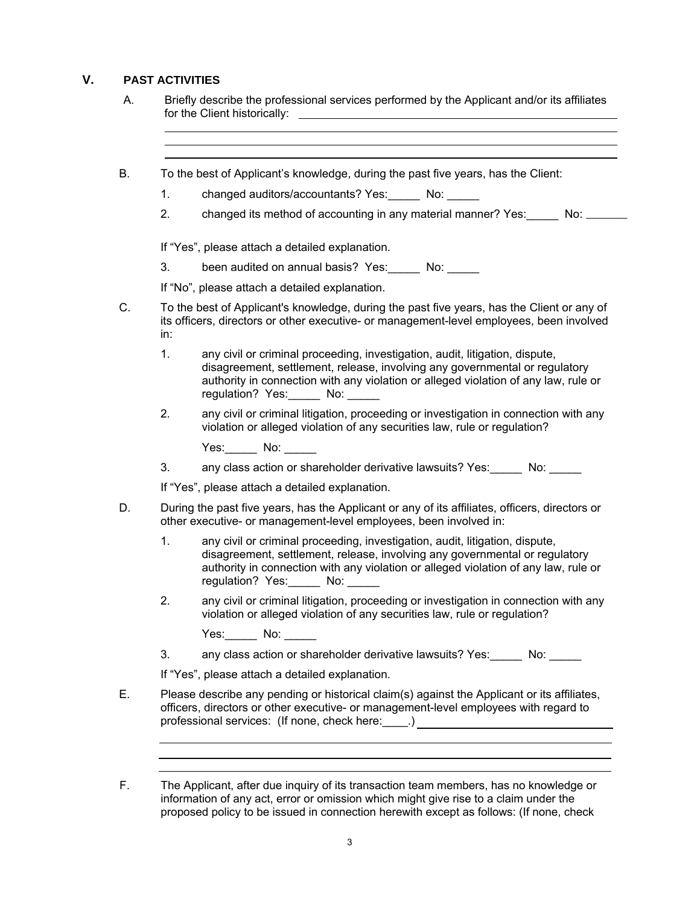# **V. PAST ACTIVITIES**

 $\ddot{\phantom{a}}$ 

- A. Briefly describe the professional services performed by the Applicant and/or its affiliates for the Client historically:
- B. To the best of Applicant's knowledge, during the past five years, has the Client:
	- 1. changed auditors/accountants? Yes: No:
	- 2. changed its method of accounting in any material manner? Yes: No: \_\_\_\_\_

If "Yes", please attach a detailed explanation.

3. been audited on annual basis? Yes: No: \_\_\_\_

If "No", please attach a detailed explanation.

- C. To the best of Applicant's knowledge, during the past five years, has the Client or any of its officers, directors or other executive- or management-level employees, been involved in:
	- 1. any civil or criminal proceeding, investigation, audit, litigation, dispute, disagreement, settlement, release, involving any governmental or regulatory authority in connection with any violation or alleged violation of any law, rule or regulation? Yes: No:
	- 2. any civil or criminal litigation, proceeding or investigation in connection with any violation or alleged violation of any securities law, rule or regulation?

Yes: No:

3. any class action or shareholder derivative lawsuits? Yes: No:

If "Yes", please attach a detailed explanation.

- D. During the past five years, has the Applicant or any of its affiliates, officers, directors or other executive- or management-level employees, been involved in:
	- 1. any civil or criminal proceeding, investigation, audit, litigation, dispute, disagreement, settlement, release, involving any governmental or regulatory authority in connection with any violation or alleged violation of any law, rule or regulation? Yes: No:
	- 2. any civil or criminal litigation, proceeding or investigation in connection with any violation or alleged violation of any securities law, rule or regulation?

Yes:\_\_\_\_\_\_ No: \_\_\_\_\_\_

 $\ddot{\phantom{a}}$  $\overline{a}$ 

3. any class action or shareholder derivative lawsuits? Yes: No:

If "Yes", please attach a detailed explanation.

- E. Please describe any pending or historical claim(s) against the Applicant or its affiliates, officers, directors or other executive- or management-level employees with regard to professional services: (If none, check here: \_\_\_\_.) \_\_\_\_\_\_\_\_\_\_\_\_\_\_\_\_\_\_\_\_\_\_\_\_\_\_\_\_
- F. The Applicant, after due inquiry of its transaction team members, has no knowledge or information of any act, error or omission which might give rise to a claim under the proposed policy to be issued in connection herewith except as follows: (If none, check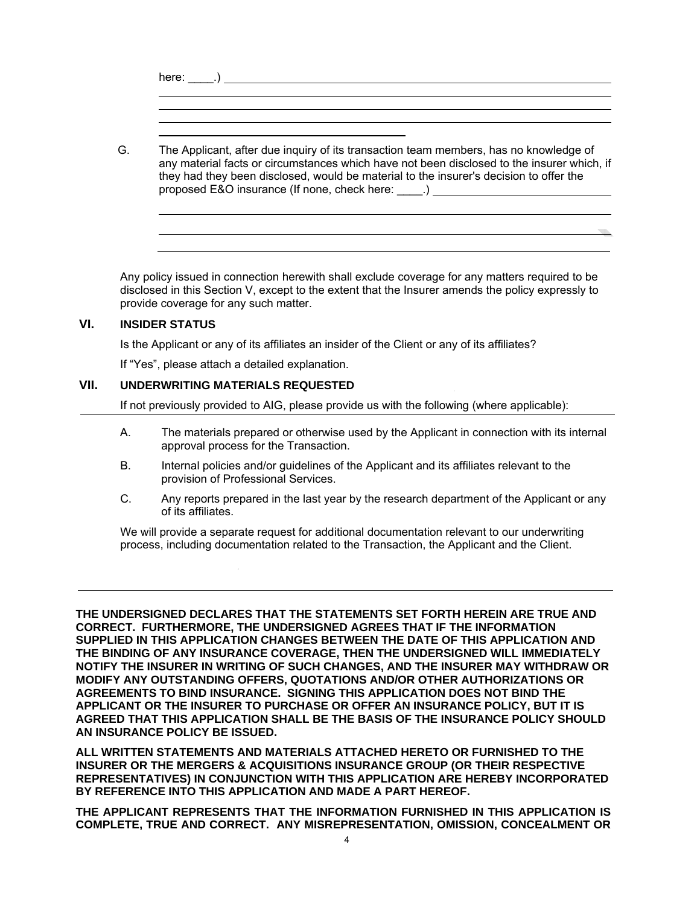| The Applicant, after due inquiry of its transaction team members, has no knowledge of<br>any material facts or circumstances which have not been disclosed to the insurer which, if<br>they had they been disclosed, would be material to the insurer's decision to offer the<br>proposed E&O insurance (If none, check here: _____.) ___________________________ |
|-------------------------------------------------------------------------------------------------------------------------------------------------------------------------------------------------------------------------------------------------------------------------------------------------------------------------------------------------------------------|

Any policy issued in connection herewith shall exclude coverage for any matters required to be disclosed in this Section V, except to the extent that the Insurer amends the policy expressly to provide coverage for any such matter.

# **VI. INSIDER STATUS**

 $\overline{\phantom{a}}$ 

Is the Applicant or any of its affiliates an insider of the Client or any of its affiliates?

If "Yes", please attach a detailed explanation.

#### **VII. UNDERWRITING MATERIALS REQUESTED**

If not previously provided to AIG, please provide us with the following (where applicable):

- A. The materials prepared or otherwise used by the Applicant in connection with its internal approval process for the Transaction.
- B. Internal policies and/or guidelines of the Applicant and its affiliates relevant to the provision of Professional Services.
- C. Any reports prepared in the last year by the research department of the Applicant or any of its affiliates.

We will provide a separate request for additional documentation relevant to our underwriting process, including documentation related to the Transaction, the Applicant and the Client.

**THE UNDERSIGNED DECLARES THAT THE STATEMENTS SET FORTH HEREIN ARE TRUE AND CORRECT. FURTHERMORE, THE UNDERSIGNED AGREES THAT IF THE INFORMATION SUPPLIED IN THIS APPLICATION CHANGES BETWEEN THE DATE OF THIS APPLICATION AND THE BINDING OF ANY INSURANCE COVERAGE, THEN THE UNDERSIGNED WILL IMMEDIATELY NOTIFY THE INSURER IN WRITING OF SUCH CHANGES, AND THE INSURER MAY WITHDRAW OR MODIFY ANY OUTSTANDING OFFERS, QUOTATIONS AND/OR OTHER AUTHORIZATIONS OR AGREEMENTS TO BIND INSURANCE. SIGNING THIS APPLICATION DOES NOT BIND THE APPLICANT OR THE INSURER TO PURCHASE OR OFFER AN INSURANCE POLICY, BUT IT IS AGREED THAT THIS APPLICATION SHALL BE THE BASIS OF THE INSURANCE POLICY SHOULD AN INSURANCE POLICY BE ISSUED.** 

**ALL WRITTEN STATEMENTS AND MATERIALS ATTACHED HERETO OR FURNISHED TO THE INSURER OR THE MERGERS & ACQUISITIONS INSURANCE GROUP (OR THEIR RESPECTIVE REPRESENTATIVES) IN CONJUNCTION WITH THIS APPLICATION ARE HEREBY INCORPORATED BY REFERENCE INTO THIS APPLICATION AND MADE A PART HEREOF.** 

**THE APPLICANT REPRESENTS THAT THE INFORMATION FURNISHED IN THIS APPLICATION IS COMPLETE, TRUE AND CORRECT. ANY MISREPRESENTATION, OMISSION, CONCEALMENT OR**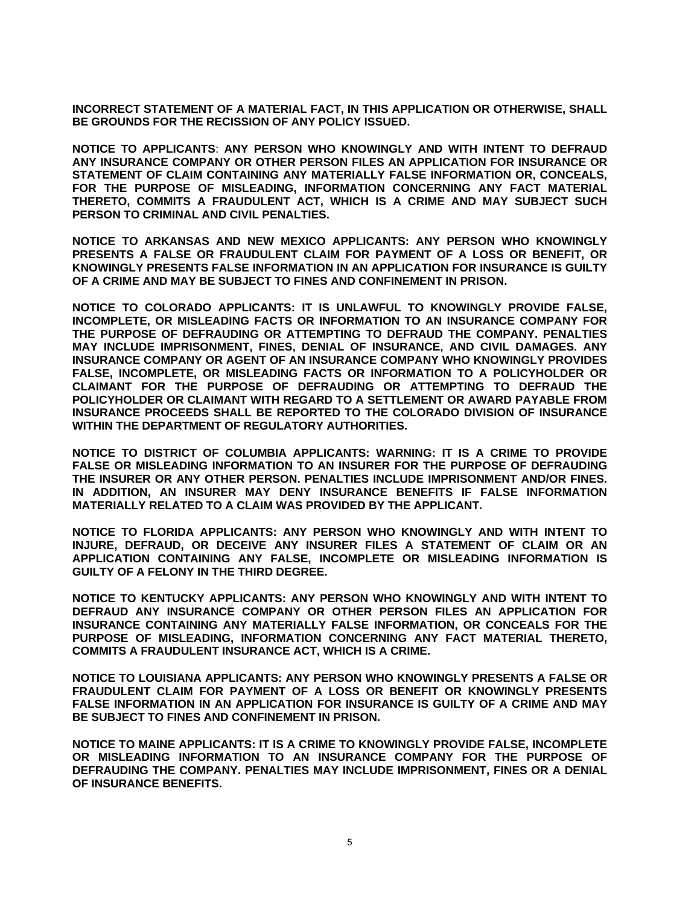**INCORRECT STATEMENT OF A MATERIAL FACT, IN THIS APPLICATION OR OTHERWISE, SHALL BE GROUNDS FOR THE RECISSION OF ANY POLICY ISSUED.** 

**NOTICE TO APPLICANTS**: **ANY PERSON WHO KNOWINGLY AND WITH INTENT TO DEFRAUD ANY INSURANCE COMPANY OR OTHER PERSON FILES AN APPLICATION FOR INSURANCE OR STATEMENT OF CLAIM CONTAINING ANY MATERIALLY FALSE INFORMATION OR, CONCEALS, FOR THE PURPOSE OF MISLEADING, INFORMATION CONCERNING ANY FACT MATERIAL THERETO, COMMITS A FRAUDULENT ACT, WHICH IS A CRIME AND MAY SUBJECT SUCH PERSON TO CRIMINAL AND CIVIL PENALTIES.** 

**NOTICE TO ARKANSAS AND NEW MEXICO APPLICANTS: ANY PERSON WHO KNOWINGLY PRESENTS A FALSE OR FRAUDULENT CLAIM FOR PAYMENT OF A LOSS OR BENEFIT, OR KNOWINGLY PRESENTS FALSE INFORMATION IN AN APPLICATION FOR INSURANCE IS GUILTY OF A CRIME AND MAY BE SUBJECT TO FINES AND CONFINEMENT IN PRISON.** 

**NOTICE TO COLORADO APPLICANTS: IT IS UNLAWFUL TO KNOWINGLY PROVIDE FALSE, INCOMPLETE, OR MISLEADING FACTS OR INFORMATION TO AN INSURANCE COMPANY FOR THE PURPOSE OF DEFRAUDING OR ATTEMPTING TO DEFRAUD THE COMPANY. PENALTIES MAY INCLUDE IMPRISONMENT, FINES, DENIAL OF INSURANCE, AND CIVIL DAMAGES. ANY INSURANCE COMPANY OR AGENT OF AN INSURANCE COMPANY WHO KNOWINGLY PROVIDES FALSE, INCOMPLETE, OR MISLEADING FACTS OR INFORMATION TO A POLICYHOLDER OR CLAIMANT FOR THE PURPOSE OF DEFRAUDING OR ATTEMPTING TO DEFRAUD THE POLICYHOLDER OR CLAIMANT WITH REGARD TO A SETTLEMENT OR AWARD PAYABLE FROM INSURANCE PROCEEDS SHALL BE REPORTED TO THE COLORADO DIVISION OF INSURANCE WITHIN THE DEPARTMENT OF REGULATORY AUTHORITIES.** 

**NOTICE TO DISTRICT OF COLUMBIA APPLICANTS: WARNING: IT IS A CRIME TO PROVIDE FALSE OR MISLEADING INFORMATION TO AN INSURER FOR THE PURPOSE OF DEFRAUDING THE INSURER OR ANY OTHER PERSON. PENALTIES INCLUDE IMPRISONMENT AND/OR FINES. IN ADDITION, AN INSURER MAY DENY INSURANCE BENEFITS IF FALSE INFORMATION MATERIALLY RELATED TO A CLAIM WAS PROVIDED BY THE APPLICANT.** 

**NOTICE TO FLORIDA APPLICANTS: ANY PERSON WHO KNOWINGLY AND WITH INTENT TO INJURE, DEFRAUD, OR DECEIVE ANY INSURER FILES A STATEMENT OF CLAIM OR AN APPLICATION CONTAINING ANY FALSE, INCOMPLETE OR MISLEADING INFORMATION IS GUILTY OF A FELONY IN THE THIRD DEGREE.** 

**NOTICE TO KENTUCKY APPLICANTS: ANY PERSON WHO KNOWINGLY AND WITH INTENT TO DEFRAUD ANY INSURANCE COMPANY OR OTHER PERSON FILES AN APPLICATION FOR INSURANCE CONTAINING ANY MATERIALLY FALSE INFORMATION, OR CONCEALS FOR THE PURPOSE OF MISLEADING, INFORMATION CONCERNING ANY FACT MATERIAL THERETO, COMMITS A FRAUDULENT INSURANCE ACT, WHICH IS A CRIME.** 

**NOTICE TO LOUISIANA APPLICANTS: ANY PERSON WHO KNOWINGLY PRESENTS A FALSE OR FRAUDULENT CLAIM FOR PAYMENT OF A LOSS OR BENEFIT OR KNOWINGLY PRESENTS FALSE INFORMATION IN AN APPLICATION FOR INSURANCE IS GUILTY OF A CRIME AND MAY BE SUBJECT TO FINES AND CONFINEMENT IN PRISON.** 

**NOTICE TO MAINE APPLICANTS: IT IS A CRIME TO KNOWINGLY PROVIDE FALSE, INCOMPLETE OR MISLEADING INFORMATION TO AN INSURANCE COMPANY FOR THE PURPOSE OF DEFRAUDING THE COMPANY. PENALTIES MAY INCLUDE IMPRISONMENT, FINES OR A DENIAL OF INSURANCE BENEFITS.**